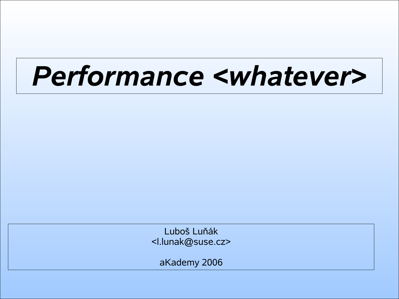# *Performance <whatever>*

Luboš Luňák <l.lunak@suse.cz>

aKademy 2006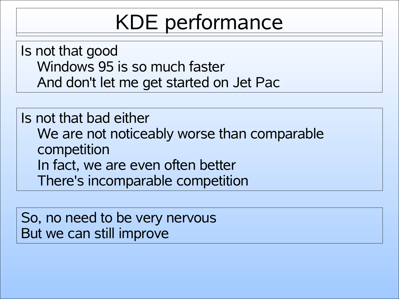# KDE performance

Is not that good Windows 95 is so much faster And don't let me get started on Jet Pac

Is not that bad either We are not noticeably worse than comparable competition In fact, we are even often better There's incomparable competition

So, no need to be very nervous But we can still improve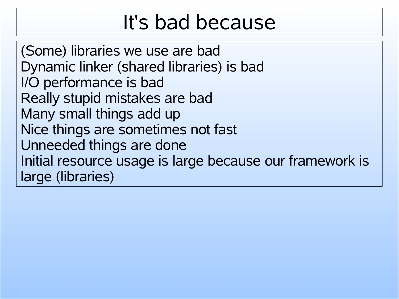# It's bad because

(Some) libraries we use are bad Dynamic linker (shared libraries) is bad I/O performance is bad Really stupid mistakes are bad Many small things add up Nice things are sometimes not fast Unneeded things are done Initial resource usage is large because our framework is large (libraries)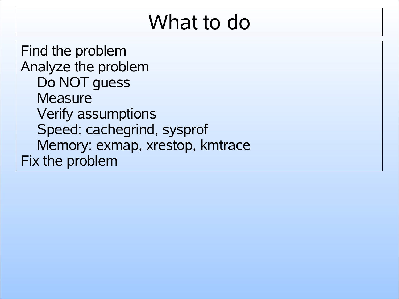# What to do

Find the problem Analyze the problem Do NOT guess **Measure** Verify assumptions Speed: cachegrind, sysprof Memory: exmap, xrestop, kmtrace Fix the problem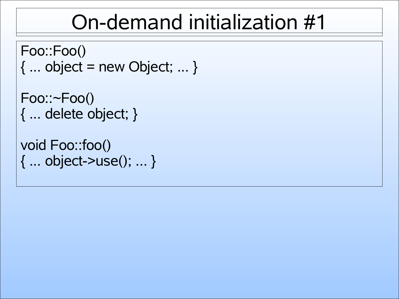#### On-demand initialization #1

```
Foo::Foo()
\{ \dots object = new Object; \dots \}
```

```
Foo::~Foo()
{ ... delete object; }
```

```
void Foo::foo()
{ ... object->use(); ... }
```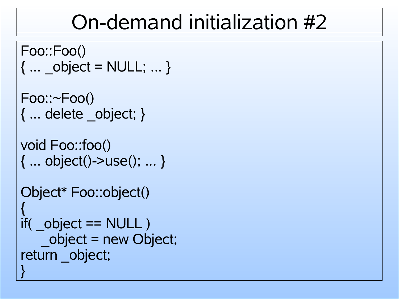#### On-demand initialization #2

```
Foo::Foo()
\{ ... object = NULL; ... \}Foo::~Foo()
{ ... delete _object; }
void Foo::foo()
{ ... object()->use(); ... }
Object* Foo::object()
{
if( object == NULL )_object = new Object;
return object;
}
```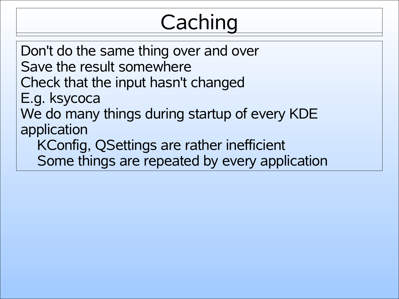# **Caching**

Don't do the same thing over and over Save the result somewhere Check that the input hasn't changed E.g. ksycoca We do many things during startup of every KDE application KConfig, QSettings are rather inefficient Some things are repeated by every application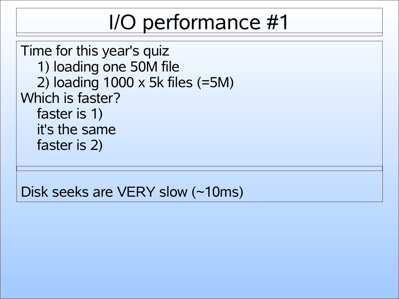# I/O performance #1

Time for this year's quiz 1) loading one 50M file 2) loading 1000 x 5k files (=5M) Which is faster? faster is 1) it's the same faster is 2)

Disk seeks are VERY slow (~10ms)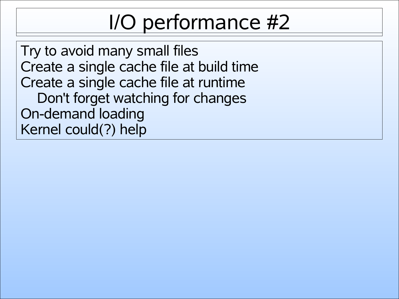# I/O performance #2

Try to avoid many small files Create a single cache file at build time Create a single cache file at runtime Don't forget watching for changes On-demand loading Kernel could(?) help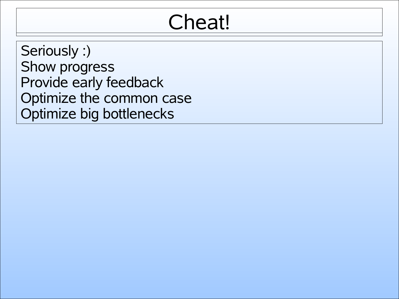#### Cheat!

Seriously :) Show progress Provide early feedback Optimize the common case Optimize big bottlenecks